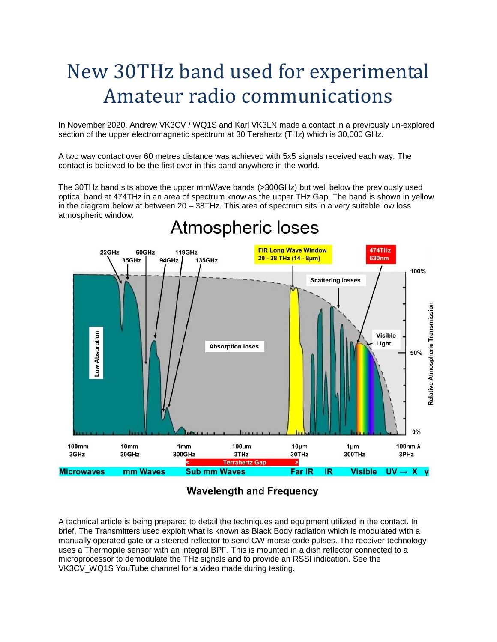# New 30THz band used for experimental Amateur radio communications

In November 2020, Andrew VK3CV / WQ1S and Karl VK3LN made a contact in a previously un-explored section of the upper electromagnetic spectrum at 30 Terahertz (THz) which is 30,000 GHz.

A two way contact over 60 metres distance was achieved with 5x5 signals received each way. The contact is believed to be the first ever in this band anywhere in the world.

The 30THz band sits above the upper mmWave bands (>300GHz) but well below the previously used optical band at 474THz in an area of spectrum know as the upper THz Gap. The band is shown in yellow in the diagram below at between 20 – 38THz. This area of spectrum sits in a very suitable low loss atmospheric window.



## **Atmospheric loses**

### **Wavelength and Frequency**

A technical article is being prepared to detail the techniques and equipment utilized in the contact. In brief, The Transmitters used exploit what is known as Black Body radiation which is modulated with a manually operated gate or a steered reflector to send CW morse code pulses. The receiver technology uses a Thermopile sensor with an integral BPF. This is mounted in a dish reflector connected to a microprocessor to demodulate the THz signals and to provide an RSSI indication. See the VK3CV\_WQ1S YouTube channel for a video made during testing.